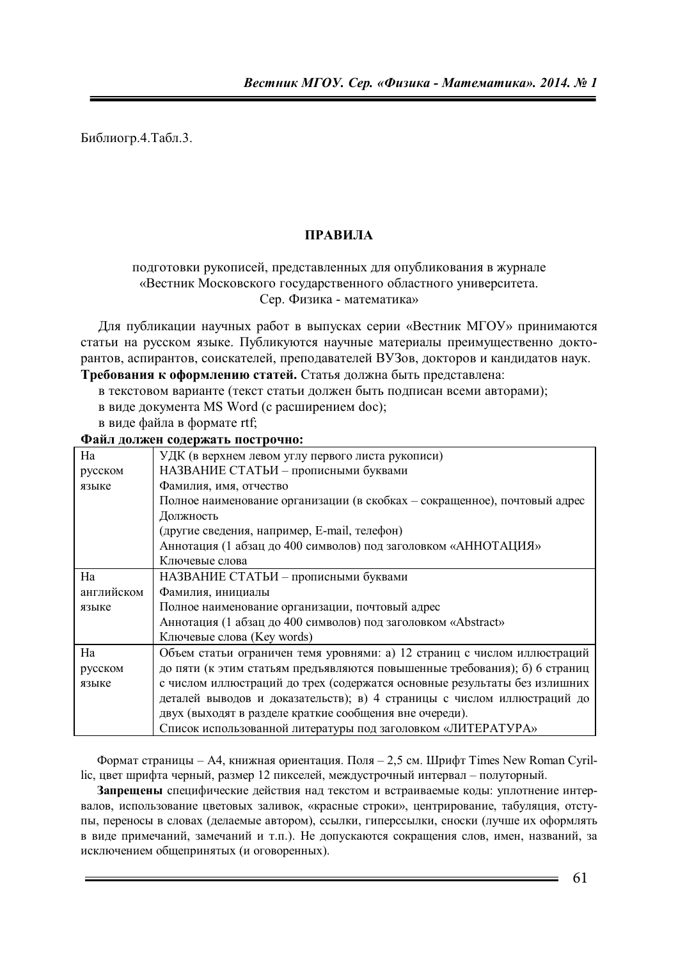Библиогр.4.Табл.3.

## **ПРАВИЛА**

## подготовки рукописей, представленных для опубликования в журнале «Вестник Московского государственного областного университета. Сер. Физика - математика»

Для публикации научных работ в выпусках серии «Вестник МГОУ» принимаются статьи на русском языке. Публикуются научные материалы преимущественно докторантов, аспирантов, соискателей, преподавателей ВУЗов, докторов и кандидатов наук. Требования к оформлению статей. Статья должна быть представлена:

в текстовом варианте (текст статьи должен быть подписан всеми авторами);

- в виде документа MS Word (с расширением doc);
- в виде файла в формате rtf;

**Ɏɚɣɥ ɞɨɥɠɟɧ ɫɨɞɟɪɠɚɬɶ ɩɨɫɬɪɨɱɧɨ:** 

| Ha         | УДК (в верхнем левом углу первого листа рукописи)                          |
|------------|----------------------------------------------------------------------------|
| русском    | НАЗВАНИЕ СТАТЬИ - прописными буквами                                       |
| языке      | Фамилия, имя, отчество                                                     |
|            | Полное наименование организации (в скобках – сокращенное), почтовый адрес  |
|            | Должность                                                                  |
|            | (другие сведения, например, E-mail, телефон)                               |
|            | Аннотация (1 абзац до 400 символов) под заголовком «АННОТАЦИЯ»             |
|            | Ключевые слова                                                             |
| Ha         | НАЗВАНИЕ СТАТЬИ - прописными буквами                                       |
| английском | Фамилия, инициалы                                                          |
| языке      | Полное наименование организации, почтовый адрес                            |
|            | Аннотация (1 абзац до 400 символов) под заголовком «Abstract»              |
|            | Ключевые слова (Key words)                                                 |
| Ha         | Объем статьи ограничен темя уровнями: а) 12 страниц с числом иллюстраций   |
| русском    | до пяти (к этим статьям предъявляются повышенные требования); б) 6 страниц |
| языке      | с числом иллюстраций до трех (содержатся основные результаты без излишних  |
|            | деталей выводов и доказательств); в) 4 страницы с числом иллюстраций до    |
|            | двух (выходят в разделе краткие сообщения вне очереди).                    |
|            | Список использованной литературы под заголовком «ЛИТЕРАТУРА»               |
|            |                                                                            |

Формат страницы – А4, книжная ориентация. Поля – 2,5 см. Шрифт Times New Roman Cyrillic, цвет шрифта черный, размер 12 пикселей, междустрочный интервал – полуторный.

Запрещены специфические действия над текстом и встраиваемые коды: уплотнение интервалов, использование цветовых заливок, «красные строки», центрирование, табуляция, отступы, переносы в словах (делаемые автором), ссылки, гиперссылки, сноски (лучше их оформлять в виде примечаний, замечаний и т.п.). Не допускаются сокращения слов, имен, названий, за исключением общепринятых (и оговоренных).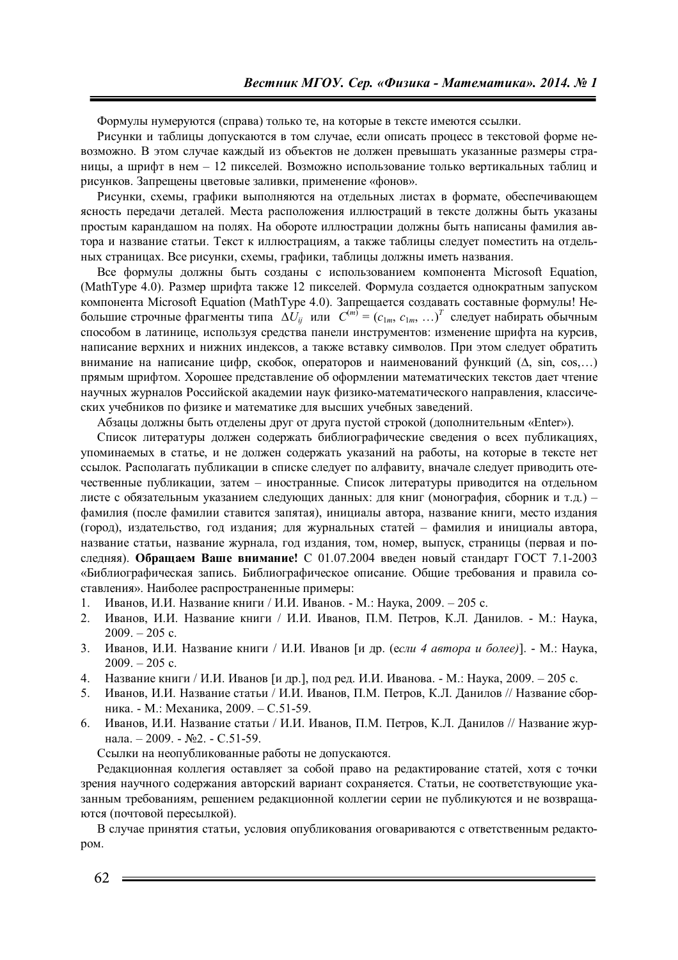Формулы нумеруются (справа) только те, на которые в тексте имеются ссылки.

Рисунки и таблицы допускаются в том случае, если описать процесс в текстовой форме невозможно. В этом случае каждый из объектов не должен превышать указанные размеры страницы, а шрифт в нем – 12 пикселей. Возможно использование только вертикальных таблиц и рисунков. Запрещены цветовые заливки, применение «фонов».

Рисунки, схемы, графики выполняются на отдельных листах в формате, обеспечивающем ясность передачи деталей. Места расположения иллюстраций в тексте должны быть указаны простым карандашом на полях. На обороте иллюстрации должны быть написаны фамилия автора и название статьи. Текст к иллюстрациям, а также таблицы следует поместить на отдельных страницах. Все рисунки, схемы, графики, таблицы должны иметь названия.

Все формулы должны быть созданы с использованием компонента Microsoft Equation, (MathType 4.0). Размер шрифта также 12 пикселей. Формула создается однократным запуском компонента Microsoft Equation (MathType 4.0). Запрещается создавать составные формулы! Небольшие строчные фрагменты типа  $\Delta U_{ij}$  или  $C^{(m)} = (c_{1m}, c_{1m}, ...)$ <sup>Т</sup> следует набирать обычным способом в латинице, используя средства панели инструментов: изменение шрифта на курсив, написание верхних и нижних индексов, а также вставку символов. При этом следует обратить внимание на написание цифр, скобок, операторов и наименований функций ( $\Delta$ , sin, cos,...) прямым шрифтом. Хорошее представление об оформлении математических текстов дает чтение научных журналов Российской академии наук физико-математического направления, классических учебников по физике и математике для высших учебных заведений.

Абзацы должны быть отделены друг от друга пустой строкой (дополнительным «Enter»).

Список литературы должен содержать библиографические сведения о всех публикациях, упоминаемых в статье, и не должен содержать указаний на работы, на которые в тексте нет ссылок. Располагать публикации в списке следует по алфавиту, вначале следует приводить отечественные публикации, затем – иностранные. Список литературы приводится на отдельном листе с обязательным указанием следующих данных: для книг (монография, сборник и т.д.) – фамилия (после фамилии ставится запятая), инициалы автора, название книги, место издания (город), издательство, год издания; для журнальных статей – фамилия и инициалы автора, название статьи, название журнала, год издания, том, номер, выпуск, страницы (первая и последняя). Обращаем Ваше внимание! С 01.07.2004 введен новый стандарт ГОСТ 7.1-2003 «Библиографическая запись. Библиографическое описание. Общие требования и правила составления». Наиболее распространенные примеры:

- 1. Иванов, И.И. Название книги / И.И. Иванов. М.: Наука, 2009. 205 с.
- 2. Иванов, И.И. Название книги / И.И. Иванов, П.М. Петров, К.Л. Данилов. М.: Наука,  $2009. - 205$  c.
- 3. Иванов, И.И. Название книги / И.И. Иванов [и др. (если 4 автора и более)]. М.: Наука,  $2009. - 205$  c.
- 4. Название книги / И.И. Иванов [и др.], под ред. И.И. Иванова. М.: Наука, 2009. 205 с.
- 5. Иванов, И.И. Название статьи / И.И. Иванов, П.М. Петров, К.Л. Данилов // Название сборника. - М.: Механика, 2009. – С.51-59.
- 6. Иванов, И.И. Название статьи / И.И. Иванов, П.М. Петров, К.Л. Данилов // Название журнала. – 2009. - №2. - С.51-59.

Ссылки на неопубликованные работы не допускаются.

Редакционная коллегия оставляет за собой право на редактирование статей, хотя с точки зрения научного содержания авторский вариант сохраняется. Статьи, не соответствующие указанным требованиям, решением редакционной коллегии серии не публикуются и не возвращаются (почтовой пересылкой).

В случае принятия статьи, условия опубликования оговариваются с ответственным редактоpom.

62